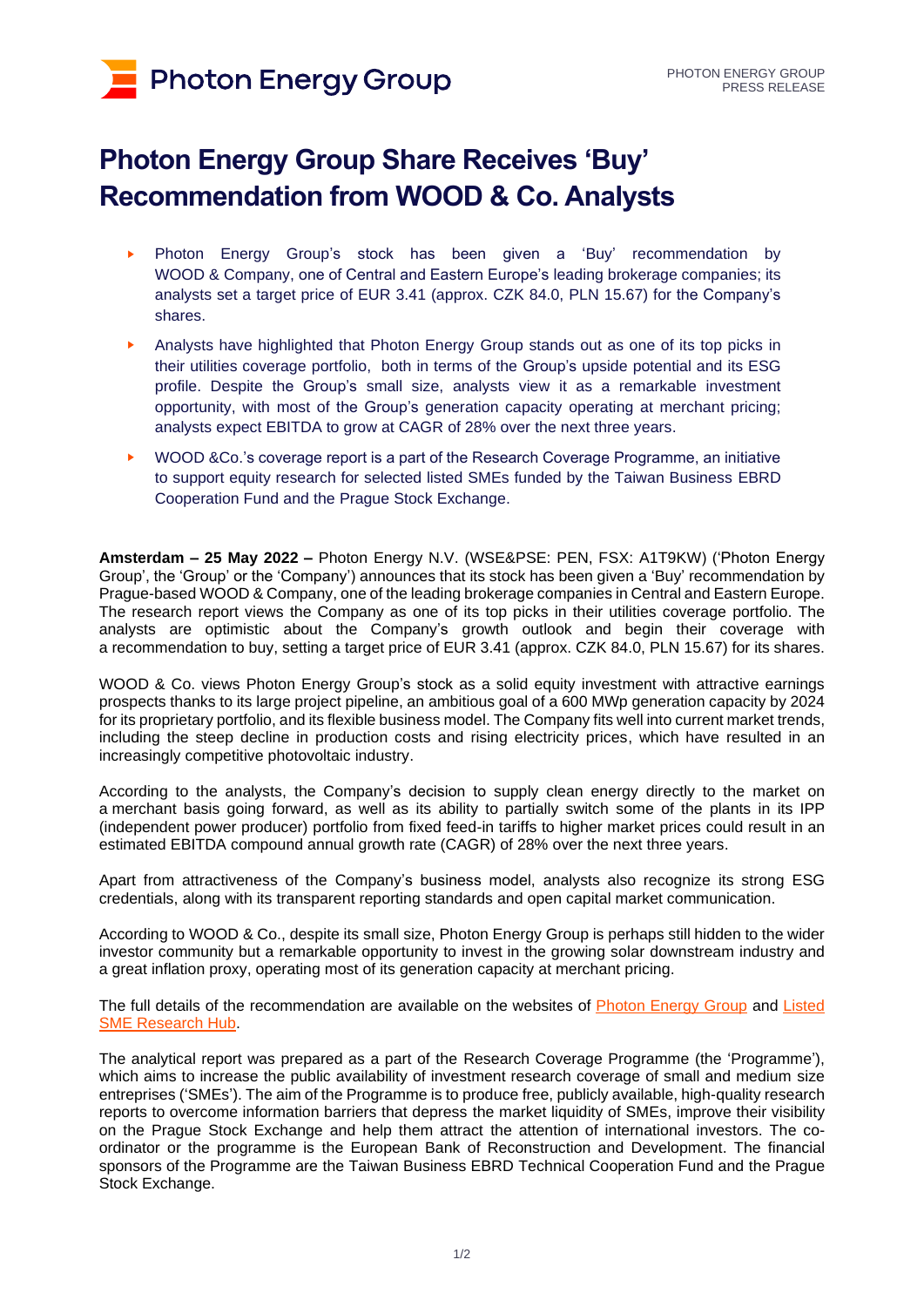# **Photon Energy Group**

## **Photon Energy Group Share Receives 'Buy' Recommendation from WOOD & Co. Analysts**

- ► Photon Energy Group's stock has been given a 'Buy' recommendation by WOOD & Company, one of Central and Eastern Europe's leading brokerage companies; its analysts set a target price of EUR 3.41 (approx. CZK 84.0, PLN 15.67) for the Company's shares.
- Analysts have highlighted that Photon Energy Group stands out as one of its top picks in their utilities coverage portfolio, both in terms of the Group's upside potential and its ESG profile. Despite the Group's small size, analysts view it as a remarkable investment opportunity, with most of the Group's generation capacity operating at merchant pricing; analysts expect EBITDA to grow at CAGR of 28% over the next three years.
- WOOD & Co.'s coverage report is a part of the Research Coverage Programme, an initiative to support equity research for selected listed SMEs funded by the Taiwan Business EBRD Cooperation Fund and the Prague Stock Exchange.

**Amsterdam – 25 May 2022 –** Photon Energy N.V. (WSE&PSE: PEN, FSX: A1T9KW) ('Photon Energy Group', the 'Group' or the 'Company') announces that its stock has been given a 'Buy' recommendation by Prague-based WOOD & Company, one of the leading brokerage companies in Central and Eastern Europe. The research report views the Company as one of its top picks in their utilities coverage portfolio. The analysts are optimistic about the Company's growth outlook and begin their coverage with a recommendation to buy, setting a target price of EUR 3.41 (approx. CZK 84.0, PLN 15.67) for its shares.

WOOD & Co. views Photon Energy Group's stock as a solid equity investment with attractive earnings prospects thanks to its large project pipeline, an ambitious goal of a 600 MWp generation capacity by 2024 for its proprietary portfolio, and its flexible business model. The Company fits well into current market trends, including the steep decline in production costs and rising electricity prices, which have resulted in an increasingly competitive photovoltaic industry.

According to the analysts, the Company's decision to supply clean energy directly to the market on a merchant basis going forward, as well as its ability to partially switch some of the plants in its IPP (independent power producer) portfolio from fixed feed-in tariffs to higher market prices could result in an estimated EBITDA compound annual growth rate (CAGR) of 28% over the next three years.

Apart from attractiveness of the Company's business model, analysts also recognize its strong ESG credentials, along with its transparent reporting standards and open capital market communication.

According to WOOD & Co., despite its small size, Photon Energy Group is perhaps still hidden to the wider investor community but a remarkable opportunity to invest in the growing solar downstream industry and a great inflation proxy, operating most of its generation capacity at merchant pricing.

The full details of the recommendation are available on the websites of [Photon Energy Group](https://www.photonenergy.com/en/investor-relations.html) and Listed [SME Research Hub.](https://listed-sme.com/en-GB/issuer/PEN)

The analytical report was prepared as a part of the Research Coverage Programme (the 'Programme'), which aims to increase the public availability of investment research coverage of small and medium size entreprises ('SMEs'). The aim of the Programme is to produce free, publicly available, high-quality research reports to overcome information barriers that depress the market liquidity of SMEs, improve their visibility on the Prague Stock Exchange and help them attract the attention of international investors. The coordinator or the programme is the European Bank of Reconstruction and Development. The financial sponsors of the Programme are the Taiwan Business EBRD Technical Cooperation Fund and the Prague Stock Exchange.